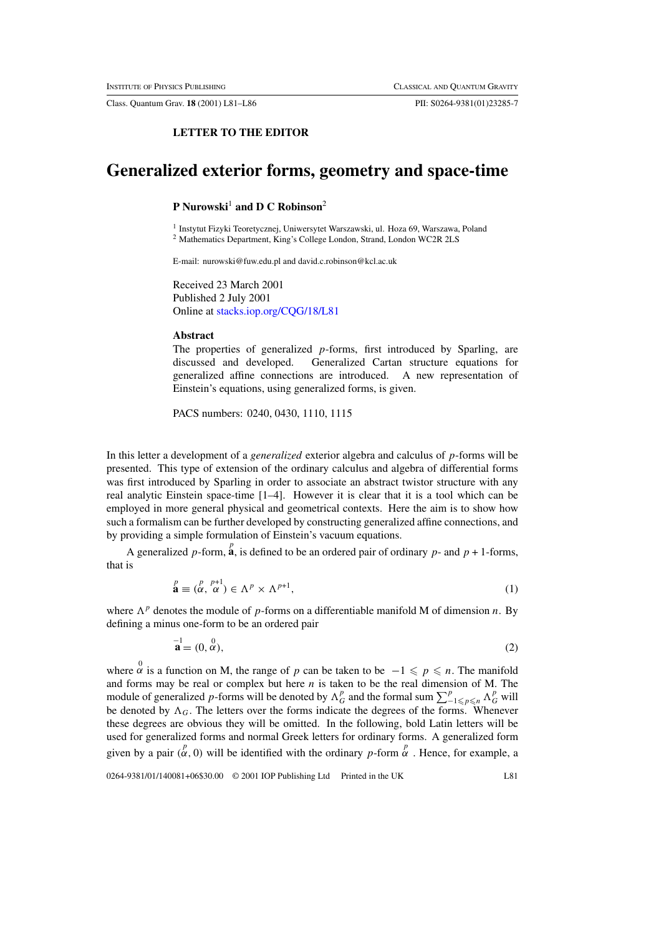Class. Quantum Grav. **18** (2001) L81–L86 PII: S0264-9381(01)23285-7

## **LETTER TO THE EDITOR**

# **Generalized exterior forms, geometry and space-time**

### **P** Nurowski<sup>1</sup> and **D** C Robinson<sup>2</sup>

<sup>1</sup> Instytut Fizyki Teoretycznej, Uniwersytet Warszawski, ul. Hoza 69, Warszawa, Poland <sup>2</sup> Mathematics Department, King's College London, Strand, London WC2R 2LS

E-mail: nurowski@fuw.edu.pl and david.c.robinson@kcl.ac.uk

Received 23 March 2001 Published 2 July 2001 Online at [stacks.iop.org/CQG/18/L81](http://stacks.iop.org/cq/18/L81)

### **Abstract**

The properties of generalized  $p$ -forms, first introduced by Sparling, are discussed and developed. Generalized Cartan structure equations for generalized affine connections are introduced. A new representation of Einstein's equations, using generalized forms, is given.

PACS numbers: 0240, 0430, 1110, 1115

In this letter a development of a *generalized* exterior algebra and calculus of p-forms will be presented. This type of extension of the ordinary calculus and algebra of differential forms was first introduced by Sparling in order to associate an abstract twistor structure with any real analytic Einstein space-time [1–4]. However it is clear that it is a tool which can be employed in more general physical and geometrical contexts. Here the aim is to show how such a formalism can be further developed by constructing generalized affine connections, and by providing a simple formulation of Einstein's vacuum equations.

A generalized p-form,  $\hat{a}$ , is defined to be an ordered pair of ordinary p- and  $p + 1$ -forms, that is

$$
\stackrel{p}{\mathbf{a}} \equiv (\stackrel{p}{\alpha}, \stackrel{p+1}{\alpha}) \in \Lambda^p \times \Lambda^{p+1},\tag{1}
$$

where  $\Lambda^p$  denotes the module of p-forms on a differentiable manifold M of dimension n. By defining a minus one-form to be an ordered pair

$$
\mathbf{a} = (0, \stackrel{0}{\alpha}), \tag{2}
$$

where  $\alpha$  is a function on M, the range of p can be taken to be  $-1 \leqslant p \leqslant n$ . The manifold and forms may be real or complex but here  $n$  is taken to be the real dimension of M. The module of generalized p-forms will be denoted by  $\Lambda_G^p$  and the formal sum  $\sum_{-1\leq p\leq n}^p\Lambda_G^p$  will be denoted by  $\Lambda_G$ . The letters over the forms indicate the degrees of the forms. Whenever these degrees are obvious they will be omitted. In the following, bold Latin letters will be used for generalized forms and normal Greek letters for ordinary forms. A generalized form given by a pair  $(\alpha^p, 0)$  will be identified with the ordinary p-form  $\alpha^p$ . Hence, for example, a

0264-9381/01/140081+06\$30.00 © 2001 IOP Publishing Ltd Printed in the UK L81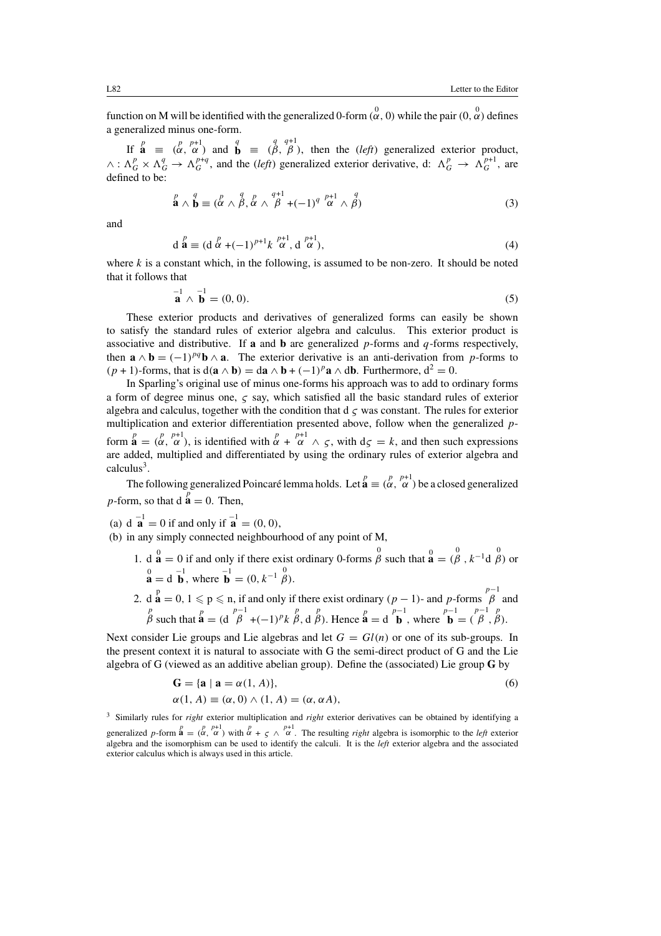function on M will be identified with the generalized 0-form  $(\alpha, 0)$  while the pair  $(0, \alpha)$  defines a generalized minus one-form.

If  $\mathbf{a} \equiv (\alpha, \alpha)^{p+1}$  and  $\mathbf{b} \equiv (\beta, \beta)$ , then the *(left)* generalized exterior product, q q+1  $\wedge$ :  $\Lambda_G^p \times \Lambda_G^q \to \Lambda_G^{p+q}$ , and the *(left)* generalized exterior derivative, d:  $\Lambda_G^p \to \Lambda_G^{p+1}$ , are defined to be:

$$
\stackrel{p}{\mathbf{a}} \wedge \stackrel{q}{\mathbf{b}} \equiv (\stackrel{p}{\alpha} \wedge \stackrel{q}{\beta}, \stackrel{p}{\alpha} \wedge \stackrel{q+1}{\beta} + (-1)^q \stackrel{p+1}{\alpha} \wedge \stackrel{q}{\beta})
$$
(3)

and

$$
d\stackrel{p}{\mathbf{a}} \equiv (d\stackrel{p}{\alpha} + (-1)^{p+1}k\stackrel{p+1}{\alpha}, d\stackrel{p+1}{\alpha}), \tag{4}
$$

where k is a constant which, in the following, is assumed to be non-zero. It should be noted that it follows that

$$
\mathbf{a}^{-1} \wedge \mathbf{b}^{-1} = (0,0). \tag{5}
$$

These exterior products and derivatives of generalized forms can easily be shown to satisfy the standard rules of exterior algebra and calculus. This exterior product is associative and distributive. If **a** and **b** are generalized  $p$ -forms and  $q$ -forms respectively, then  $\mathbf{a} \wedge \mathbf{b} = (-1)^{pq} \mathbf{b} \wedge \mathbf{a}$ . The exterior derivative is an anti-derivation from p-forms to  $(p + 1)$ -forms, that is  $d(\mathbf{a} \wedge \mathbf{b}) = d\mathbf{a} \wedge \mathbf{b} + (-1)^p \mathbf{a} \wedge d\mathbf{b}$ . Furthermore,  $d^2 = 0$ .

In Sparling's original use of minus one-forms his approach was to add to ordinary forms a form of degree minus one,  $\zeta$  say, which satisfied all the basic standard rules of exterior algebra and calculus, together with the condition that  $d \zeta$  was constant. The rules for exterior multiplication and exterior differentiation presented above, follow when the generalized pform  $\mathbf{a} = \begin{pmatrix} p & p+1 \\ \alpha & \alpha \end{pmatrix}$ , is identified with  $\alpha \begin{pmatrix} p & p+1 \\ \alpha & \alpha \end{pmatrix}$ , with  $d\zeta = k$ , and then such expressions are added, multiplied and differentiated by using the ordinary rules of exterior algebra and calculus $3$ .

The following generalized Poincaré lemma holds. Let  $\mathbf{a}^p \equiv (\alpha, \alpha)^{p+1}$  be a closed generalized *p*-form, so that  $d\mathbf{a} = 0$ . Then,

- (a)  $d \mathbf{a}^{-1} = 0$  if and only if  $\mathbf{a}^{-1} = (0, 0)$ ,
- (b) in any simply connected neighbourhood of any point of M,
	- 1. d  $\mathbf{a} = 0$  if and only if there exist ordinary 0-forms  $\beta$  such that  $\mathbf{a} = (\beta, k^{-1}d \beta)$  or  $\mathbf{a} = \mathbf{d}^{-1} \mathbf{b}$ , where  $\mathbf{b} = (0, k^{-1} \stackrel{0}{\beta})$ .
	- 2. d  $\mathbf{a}^p = 0, 1 \leq p \leq n$ , if and only if there exist ordinary  $(p-1)$  and p-forms  $\stackrel{p-1}{\beta}$  and  $\stackrel{p}{\beta}$  such that  $\stackrel{p}{\mathbf{a}} = (\mathbf{d} \stackrel{p-1}{\beta} + (-1)^p k \stackrel{p}{\beta}, \mathbf{d} \stackrel{p}{\beta})$ . Hence  $\stackrel{p}{\mathbf{a}} = \mathbf{d} \stackrel{p-1}{\mathbf{b}}$ , where  $\stackrel{p-1}{\mathbf{b}} = (\stackrel{p-1}{\beta}, \stackrel{p}{\beta})$ .

Next consider Lie groups and Lie algebras and let  $G = Gl(n)$  or one of its sub-groups. In the present context it is natural to associate with G the semi-direct product of G and the Lie algebra of G (viewed as an additive abelian group). Define the (associated) Lie group **G** by

$$
\mathbf{G} = \{ \mathbf{a} \mid \mathbf{a} = \alpha(1, A) \},\
$$
  
\n
$$
\alpha(1, A) \equiv (\alpha, 0) \land (1, A) = (\alpha, \alpha A),
$$
\n(6)

<sup>3</sup> Similarly rules for *right* exterior multiplication and *right* exterior derivatives can be obtained by identifying a generalized p-form  $\mathbf{a}^p = \begin{pmatrix} p & p+1 \\ \alpha & \alpha \end{pmatrix}$  with  $\alpha + \zeta \wedge \alpha^{p+1}$ . The resulting *right* algebra is isomorphic to the *left* exterior algebra and the isomorphism can be used to identify the calculi. It is the *left* exterior algebra and the associated exterior calculus which is always used in this article.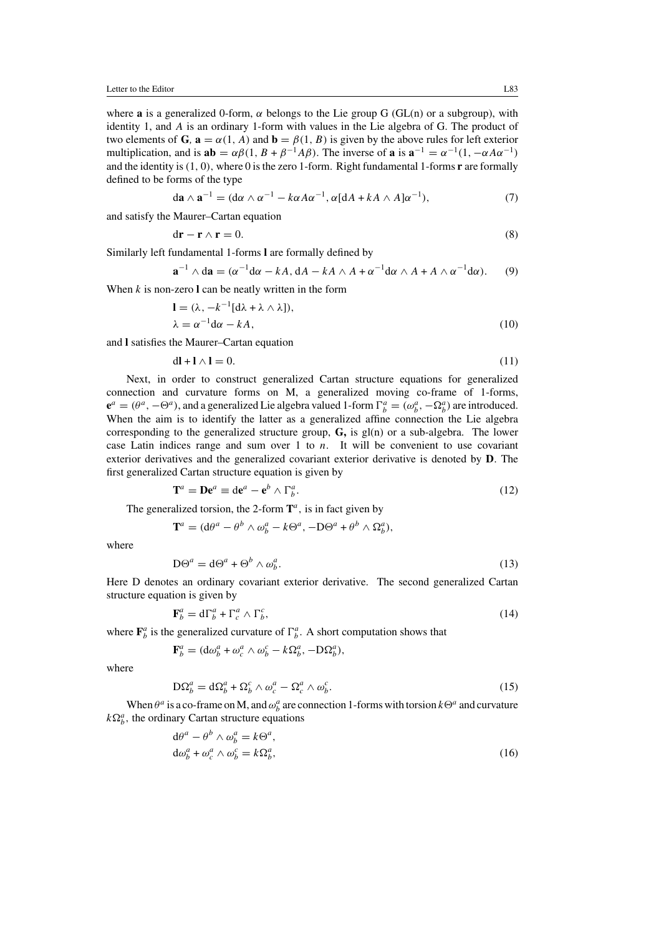where **a** is a generalized 0-form,  $\alpha$  belongs to the Lie group G (GL(n) or a subgroup), with identity 1, and A is an ordinary 1-form with values in the Lie algebra of G. The product of two elements of **G***,*  $\mathbf{a} = \alpha(1, A)$  and  $\mathbf{b} = \beta(1, B)$  is given by the above rules for left exterior multiplication, and is  $ab = \alpha \beta (1, B + \beta^{-1} A \beta)$ . The inverse of **a** is  $a^{-1} = \alpha^{-1}(1, -\alpha A \alpha^{-1})$ and the identity is(1, 0), where 0 is the zero 1-form. Right fundamental 1-forms **r** are formally defined to be forms of the type

$$
da \wedge a^{-1} = (d\alpha \wedge \alpha^{-1} - k\alpha A\alpha^{-1}, \alpha [dA + kA \wedge A]\alpha^{-1}), \qquad (7)
$$

and satisfy the Maurer–Cartan equation

$$
dr - r \wedge r = 0. \tag{8}
$$

Similarly left fundamental 1-forms **l** are formally defined by

 $\mathbf{a}^{-1} \wedge d\mathbf{a} = (\alpha^{-1} d\alpha - kA, dA - kA \wedge A + \alpha^{-1} d\alpha \wedge A + A \wedge \alpha^{-1} d\alpha).$  (9)

When  $k$  is non-zero  $l$  can be neatly written in the form

$$
\mathbf{l} = (\lambda, -k^{-1}[\mathrm{d}\lambda + \lambda \wedge \lambda]),
$$
  
\n
$$
\lambda = \alpha^{-1}\mathrm{d}\alpha - kA,
$$
\n(10)

and **l** satisfies the Maurer–Cartan equation

$$
dl + l \wedge l = 0. \tag{11}
$$

Next, in order to construct generalized Cartan structure equations for generalized connection and curvature forms on M, a generalized moving co-frame of 1-forms,  $\mathbf{e}^a = (\theta^a, -\Theta^a)$ , and a generalized Lie algebra valued 1-form  $\Gamma^a_b = (\omega^a_b, -\Omega^a_b)$  are introduced. When the aim is to identify the latter as a generalized affine connection the Lie algebra corresponding to the generalized structure group, **G,** is gl(n) or a sub-algebra. The lower case Latin indices range and sum over 1 to  $n$ . It will be convenient to use covariant exterior derivatives and the generalized covariant exterior derivative is denoted by **D**. The first generalized Cartan structure equation is given by

$$
\mathbf{T}^a = \mathbf{D} \mathbf{e}^a \equiv \mathrm{d} \mathbf{e}^a - \mathbf{e}^b \wedge \Gamma_b^a. \tag{12}
$$

The generalized torsion, the 2-form  $\mathbf{T}^a$ , is in fact given by

 $\mathbf{T}^{a} = (\mathrm{d}\theta^{a} - \theta^{b} \wedge \omega_{b}^{a} - k\Theta^{a}, -D\Theta^{a} + \theta^{b} \wedge \Omega_{b}^{a}),$ 

where

$$
D\Theta^a = d\Theta^a + \Theta^b \wedge \omega_b^a. \tag{13}
$$

Here D denotes an ordinary covariant exterior derivative. The second generalized Cartan structure equation is given by

$$
\mathbf{F}_b^a = \mathrm{d}\Gamma_b^a + \Gamma_c^a \wedge \Gamma_b^c,\tag{14}
$$

where  $\mathbf{F}_{b}^{a}$  is the generalized curvature of  $\Gamma_{b}^{a}$ . A short computation shows that

$$
\mathbf{F}_b^a = (\mathrm{d}\omega_b^a + \omega_c^a \wedge \omega_b^c - k\Omega_b^a, -D\Omega_b^a),
$$

where

$$
D\Omega_b^a = d\Omega_b^a + \Omega_b^c \wedge \omega_c^a - \Omega_c^a \wedge \omega_b^c. \tag{15}
$$

When  $\theta^a$  is a co-frame on M, and  $\omega_b^a$  are connection 1-forms with torsion  $k\Theta^a$  and curvature  $k\Omega_b^a$ , the ordinary Cartan structure equations

$$
d\theta^{a} - \theta^{b} \wedge \omega_{b}^{a} = k\Theta^{a},
$$
  
\n
$$
d\omega_{b}^{a} + \omega_{c}^{a} \wedge \omega_{b}^{c} = k\Omega_{b}^{a},
$$
\n(16)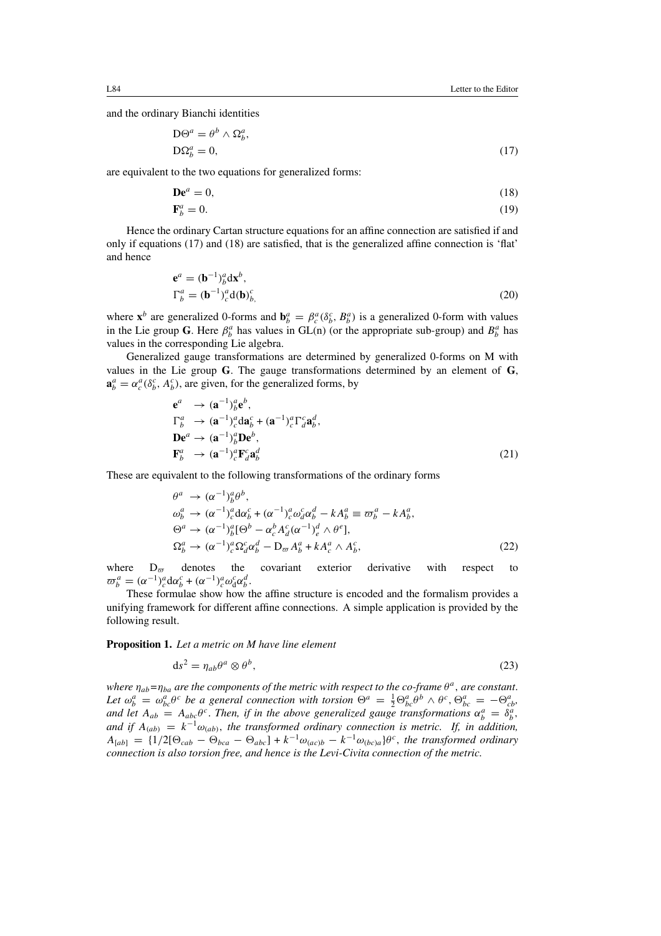and the ordinary Bianchi identities

$$
D\Theta^a = \theta^b \wedge \Omega_b^a,
$$
  
\n
$$
D\Omega_b^a = 0,
$$
\n(17)

are equivalent to the two equations for generalized forms:

$$
\mathbf{De}^a = 0,\tag{18}
$$
\n
$$
\mathbf{F}_b^a = 0.\tag{19}
$$

Hence the ordinary Cartan structure equations for an affine connection are satisfied if and only if equations (17) and (18) are satisfied, that is the generalized affine connection is 'flat' and hence

$$
\mathbf{e}^a = (\mathbf{b}^{-1})^a_b \mathbf{d} \mathbf{x}^b, \n\Gamma^a_b = (\mathbf{b}^{-1})^a_c \mathbf{d}(\mathbf{b})^c_b,
$$
\n(20)

where  $\mathbf{x}^b$  are generalized 0-forms and  $\mathbf{b}_b^a = \beta_c^a(\delta_b^c, B_b^a)$  is a generalized 0-form with values in the Lie group G. Here  $\beta_b^a$  has values in GL(n) (or the appropriate sub-group) and  $B_b^a$  has values in the corresponding Lie algebra.

Generalized gauge transformations are determined by generalized 0-forms on M with values in the Lie group **G**. The gauge transformations determined by an element of **G**,  $\mathbf{a}_{b}^{a} = \alpha_{c}^{a} (\delta_{b}^{c}, A_{b}^{c})$ , are given, for the generalized forms, by

$$
\mathbf{e}^{a} \rightarrow (\mathbf{a}^{-1})^{a}_{b} \mathbf{e}^{b},
$$
\n
$$
\Gamma^{a}_{b} \rightarrow (\mathbf{a}^{-1})^{a}_{c} d\mathbf{a}^{c}_{b} + (\mathbf{a}^{-1})^{a}_{c} \Gamma^{c}_{d} \mathbf{a}^{d}_{b},
$$
\n
$$
\mathbf{D} \mathbf{e}^{a} \rightarrow (\mathbf{a}^{-1})^{a}_{b} \mathbf{D} \mathbf{e}^{b},
$$
\n
$$
\mathbf{F}^{a}_{b} \rightarrow (\mathbf{a}^{-1})^{a}_{c} \mathbf{F}^{c}_{d} \mathbf{a}^{d}_{b}
$$
\n(21)

These are equivalent to the following transformations of the ordinary forms

$$
\theta^{a} \rightarrow (\alpha^{-1})^{a}_{b} \theta^{b},
$$
\n
$$
\omega_{b}^{a} \rightarrow (\alpha^{-1})^{a}_{c} d\alpha_{b}^{c} + (\alpha^{-1})^{a}_{c} \omega_{a}^{c} \alpha_{b}^{d} - k A_{b}^{a} \equiv \varpi_{b}^{a} - k A_{b}^{a},
$$
\n
$$
\Theta^{a} \rightarrow (\alpha^{-1})^{a}_{b} [\Theta^{b} - \alpha_{c}^{b} A_{d}^{c} (\alpha^{-1})^{d} \wedge \theta^{e}],
$$
\n
$$
\Omega_{b}^{a} \rightarrow (\alpha^{-1})^{a}_{c} \Omega_{d}^{c} \alpha_{b}^{d} - \mathcal{D}_{\varpi} A_{b}^{a} + k A_{c}^{a} \wedge A_{b}^{c},
$$
\n(22)

where  $D_{\varpi}$  denotes the covariant exterior derivative with respect to  $\varpi_b^a = (\alpha^{-1})_c^a \mathrm{d} \alpha_b^c + (\alpha^{-1})_c^a \omega_{\mathrm{d}}^c \alpha_b^d.$ 

These formulae show how the affine structure is encoded and the formalism provides a unifying framework for different affine connections. A simple application is provided by the following result.

**Proposition 1.** *Let a metric on M have line element*

$$
ds^2 = \eta_{ab}\theta^a \otimes \theta^b,\tag{23}
$$

*where*  $\eta_{ab} = \eta_{ba}$  *are the components of the metric with respect to the co-frame*  $\theta^a$ *, are constant.* Let  $\omega_b^a = \omega_{bc}^a \theta^c$  be a general connection with torsion  $\Theta^a = \frac{1}{2} \Theta_{bc}^a \theta^b \wedge \theta^c$ ,  $\Theta_{bc}^a = -\Theta_{cb}^a$ , and let  $A_{ab} = A_{abc}\theta^c$ . *Then, if in the above generalized gauge transformations*  $\alpha_b^a = \delta_b^a$ , *and if*  $A_{(ab)} = k^{-1}\omega_{(ab)}$ , the transformed ordinary connection is metric. If, in addition,  $A_{[ab]} = \{1/2[\Theta_{cab} - \Theta_{bca} - \Theta_{abc}] + k^{-1}\omega_{(ac)b} - k^{-1}\omega_{(bc)a}\}\theta^c$ , the transformed ordinary *connection is also torsion free, and hence is the Levi-Civita connection of the metric.*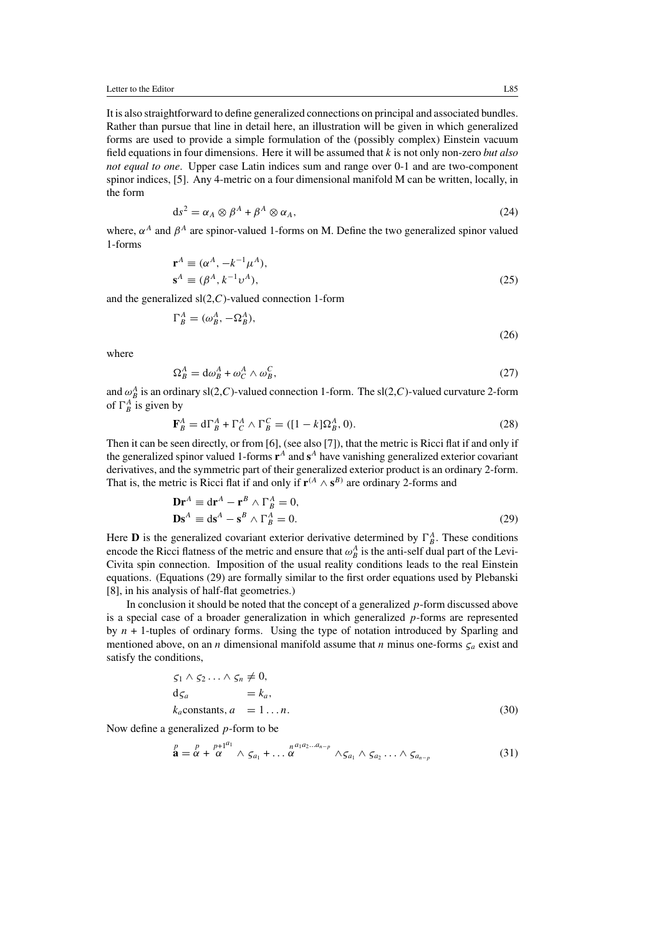It is also straightforward to define generalized connections on principal and associated bundles. Rather than pursue that line in detail here, an illustration will be given in which generalized forms are used to provide a simple formulation of the (possibly complex) Einstein vacuum field equations in four dimensions. Here it will be assumed that k is not only non-zero *but also not equal to one*. Upper case Latin indices sum and range over 0-1 and are two-component spinor indices, [5]. Any 4-metric on a four dimensional manifold M can be written, locally, in the form

$$
ds^2 = \alpha_A \otimes \beta^A + \beta^A \otimes \alpha_A, \tag{24}
$$

where,  $\alpha^A$  and  $\beta^A$  are spinor-valued 1-forms on M. Define the two generalized spinor valued 1-forms

$$
\mathbf{r}^{A} \equiv (\alpha^{A}, -k^{-1}\mu^{A}), \n\mathbf{s}^{A} \equiv (\beta^{A}, k^{-1}\nu^{A}),
$$
\n(25)

and the generalized  $sl(2, C)$ -valued connection 1-form

$$
\Gamma_B^A = (\omega_B^A, -\Omega_B^A),\tag{26}
$$

where

$$
\Omega_B^A = \mathrm{d}\omega_B^A + \omega_C^A \wedge \omega_B^C,\tag{27}
$$

and  $\omega_B^A$  is an ordinary sl(2,*C*)-valued connection 1-form. The sl(2,*C*)-valued curvature 2-form of  $\Gamma_B^A$  is given by

$$
\mathbf{F}_B^A = \mathbf{d}\Gamma_B^A + \Gamma_C^A \wedge \Gamma_B^C = ([1-k]\Omega_B^A, 0). \tag{28}
$$

Then it can be seen directly, or from [6], (see also [7]), that the metric is Ricci flat if and only if the generalized spinor valued 1-forms  $\mathbf{r}^A$  and  $\mathbf{s}^A$  have vanishing generalized exterior covariant derivatives, and the symmetric part of their generalized exterior product is an ordinary 2-form. That is, the metric is Ricci flat if and only if  $\mathbf{r}^{(A} \wedge \mathbf{s}^{B)}$  are ordinary 2-forms and

$$
\mathbf{Dr}^{A} \equiv \mathrm{d}\mathbf{r}^{A} - \mathbf{r}^{B} \wedge \Gamma_{B}^{A} = 0,
$$
  

$$
\mathbf{Ds}^{A} \equiv \mathrm{d}\mathbf{s}^{A} - \mathbf{s}^{B} \wedge \Gamma_{B}^{A} = 0.
$$
 (29)

Here **D** is the generalized covariant exterior derivative determined by  $\Gamma_B^A$ . These conditions encode the Ricci flatness of the metric and ensure that  $\omega_B^A$  is the anti-self dual part of the Levi-Civita spin connection. Imposition of the usual reality conditions leads to the real Einstein equations. (Equations (29) are formally similar to the first order equations used by Plebanski [8], in his analysis of half-flat geometries.)

In conclusion it should be noted that the concept of a generalized  $p$ -form discussed above is a special case of a broader generalization in which generalized  $p$ -forms are represented by  $n + 1$ -tuples of ordinary forms. Using the type of notation introduced by Sparling and mentioned above, on an *n* dimensional manifold assume that *n* minus one-forms  $\zeta_a$  exist and satisfy the conditions,

$$
S_1 \wedge S_2 \cdots \wedge S_n \neq 0,
$$
  
\n
$$
d_{S_a} = k_a,
$$
  
\n
$$
k_a
$$
constants,  $a = 1...n$ . (30)

Now define a generalized  $p$ -form to be

$$
\stackrel{p}{\mathbf{a}} = \stackrel{p}{\alpha} + \stackrel{p+1}{\alpha}^{q_1} \wedge \varsigma_{a_1} + \dots \stackrel{n}{\alpha}^{n_1 a_2 \dots a_{n-p}} \wedge \varsigma_{a_1} \wedge \varsigma_{a_2} \dots \wedge \varsigma_{a_{n-p}}
$$
(31)